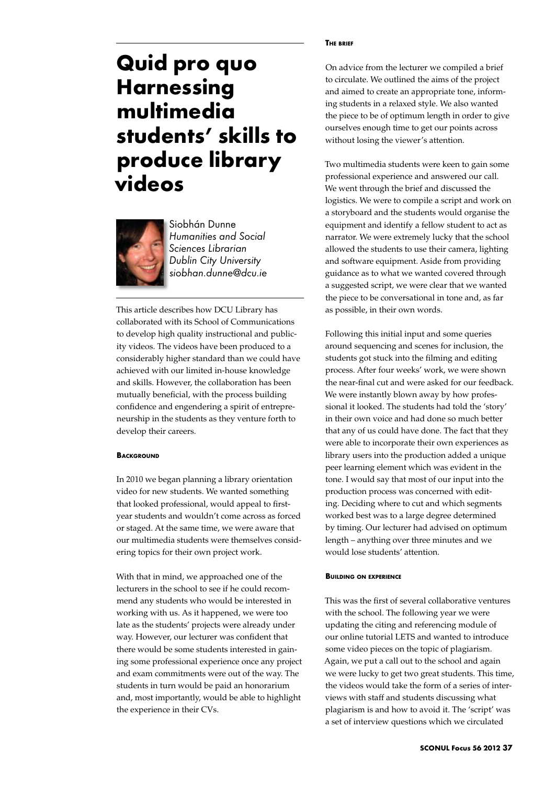# **Quid pro quo Harnessing multimedia students' skills to produce library videos**



Siobhán Dunne *Humanities and Social Sciences Librarian Dublin City University siobhan.dunne@dcu.ie*

This article describes how DCU Library has collaborated with its School of Communications to develop high quality instructional and publicity videos. The videos have been produced to a considerably higher standard than we could have achieved with our limited in-house knowledge and skills. However, the collaboration has been mutually beneficial, with the process building confidence and engendering a spirit of entrepreneurship in the students as they venture forth to develop their careers.

# **BACKGROUND**

In 2010 we began planning a library orientation video for new students. We wanted something that looked professional, would appeal to firstyear students and wouldn't come across as forced or staged. At the same time, we were aware that our multimedia students were themselves considering topics for their own project work.

With that in mind, we approached one of the lecturers in the school to see if he could recommend any students who would be interested in working with us. As it happened, we were too late as the students' projects were already under way. However, our lecturer was confident that there would be some students interested in gaining some professional experience once any project and exam commitments were out of the way. The students in turn would be paid an honorarium and, most importantly, would be able to highlight the experience in their CVs.

#### **The brief**

On advice from the lecturer we compiled a brief to circulate. We outlined the aims of the project and aimed to create an appropriate tone, informing students in a relaxed style. We also wanted the piece to be of optimum length in order to give ourselves enough time to get our points across without losing the viewer's attention.

Two multimedia students were keen to gain some professional experience and answered our call. We went through the brief and discussed the logistics. We were to compile a script and work on a storyboard and the students would organise the equipment and identify a fellow student to act as narrator. We were extremely lucky that the school allowed the students to use their camera, lighting and software equipment. Aside from providing guidance as to what we wanted covered through a suggested script, we were clear that we wanted the piece to be conversational in tone and, as far as possible, in their own words.

Following this initial input and some queries around sequencing and scenes for inclusion, the students got stuck into the filming and editing process. After four weeks' work, we were shown the near-final cut and were asked for our feedback. We were instantly blown away by how professional it looked. The students had told the 'story' in their own voice and had done so much better that any of us could have done. The fact that they were able to incorporate their own experiences as library users into the production added a unique peer learning element which was evident in the tone. I would say that most of our input into the production process was concerned with editing. Deciding where to cut and which segments worked best was to a large degree determined by timing. Our lecturer had advised on optimum length – anything over three minutes and we would lose students' attention.

# **Building on experience**

This was the first of several collaborative ventures with the school. The following year we were updating the citing and referencing module of our online tutorial LETS and wanted to introduce some video pieces on the topic of plagiarism. Again, we put a call out to the school and again we were lucky to get two great students. This time, the videos would take the form of a series of interviews with staff and students discussing what plagiarism is and how to avoid it. The 'script' was a set of interview questions which we circulated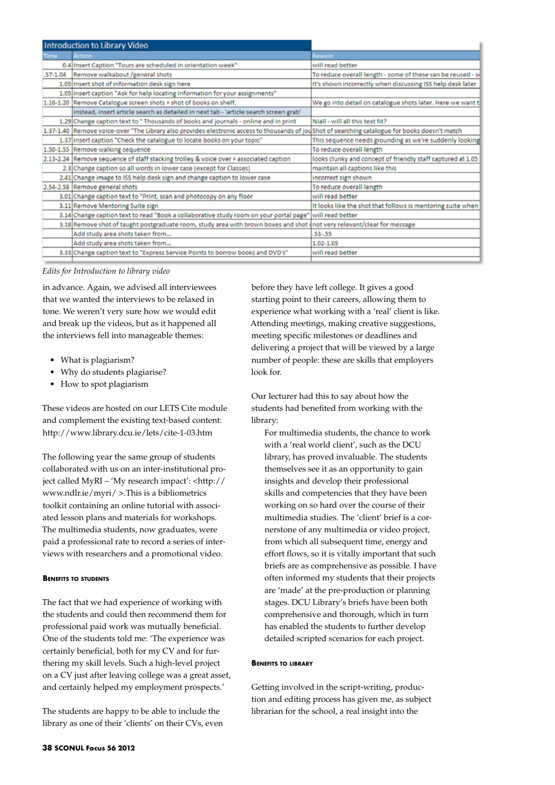| <b>Introduction to Library Video</b> |                                                                                                                                                 |                                                             |
|--------------------------------------|-------------------------------------------------------------------------------------------------------------------------------------------------|-------------------------------------------------------------|
| <b>Time</b>                          | <b>Action</b>                                                                                                                                   | Reason                                                      |
|                                      | 0.4 Insert Caption "Tours are scheduled in orientation week"                                                                                    | will read better                                            |
|                                      | .57-1.04 Remove walkabout /general shots                                                                                                        | To reduce overall length - some of these can be reused - so |
|                                      | 1.05 Insert shot of information desk sign here                                                                                                  | It's shown incorrectly when discussing ISS help desk later  |
|                                      | 1.05 Insert caption "Ask for help locating information for your assignments"                                                                    |                                                             |
|                                      | 1.16-1.20 Remove Catalogue screen shots + shot of books on shelf.                                                                               | We go into detail on catalogue shots later. Here we want t  |
|                                      | instead, insert article search as detailed in next tab - 'article search screen grab'                                                           |                                                             |
|                                      | 1.29 Change caption text to " Thousands of books and journals - online and in print                                                             | Niall - will all this text fit?                             |
|                                      | 1.37-1.40 Remove voice-over "The Library also provides electronic access to thousands of joushot of searching catalogue for books doesn't match |                                                             |
|                                      | 1.37 Insert caption "Check the catalogue to locate books on your topic"                                                                         | This sequence needs grounding as we're suddenly looking     |
|                                      | 1.50-1.55 Remove walking sequence                                                                                                               | To reduce overall length                                    |
|                                      | 2.13-2.24 Remove sequence of staff stacking trolley & voice over + associated caption                                                           | looks clunky and concept of friendly staff captured at 1.05 |
|                                      | 2.3 Change caption so all words in lower case (except for Classes)                                                                              | maintain all captions like this                             |
|                                      | 2.41 Change image to ISS help desk sign and change caption to lower case                                                                        | incorrect sign shown                                        |
|                                      | 2.54-2.58 Remove general shots                                                                                                                  | To reduce overall length                                    |
|                                      | 3.01 Change caption text to "Print, scan and photocopy on any floor                                                                             | will read better                                            |
|                                      | 3.11 Remove Mentoring Suite sign                                                                                                                | It looks like the shot that follows is mentoring suite when |
|                                      | 3.14 Change caption text to read "Book a collaborative study room on your portal page" will read better                                         |                                                             |
|                                      | 3.18 Remove shot of taught postgraduate room, study area with brown boxes and shot dnot very relevant/clear for message                         |                                                             |
|                                      | Add study area shots taken from                                                                                                                 | $.53 - .55$                                                 |
|                                      | Add study area shots taken from                                                                                                                 | 1.02-1.05                                                   |
|                                      | 3.33 Change caption text to "Express Service Points to borrow books and DVD's"                                                                  | will read better                                            |
|                                      |                                                                                                                                                 |                                                             |

### *Edits for Introduction to library video*

in advance. Again, we advised all interviewees that we wanted the interviews to be relaxed in tone. We weren't very sure how we would edit and break up the videos, but as it happened all the interviews fell into manageable themes:

- What is plagiarism?
- Why do students plagiarise?
- How to spot plagiarism

These videos are hosted on our LETS Cite module and complement the existing text-based content: http://www.library.dcu.ie/lets/cite-1-03.htm

The following year the same group of students collaborated with us on an inter-institutional project called MyRI – 'My research impact': <http:// www.ndlr.ie/myri/ >.This is a bibliometrics toolkit containing an online tutorial with associated lesson plans and materials for workshops. The multimedia students, now graduates, were paid a professional rate to record a series of interviews with researchers and a promotional video.

# **Benefits to students**

The fact that we had experience of working with the students and could then recommend them for professional paid work was mutually beneficial. One of the students told me: 'The experience was certainly beneficial, both for my CV and for furthering my skill levels. Such a high-level project on a CV just after leaving college was a great asset, and certainly helped my employment prospects.'

The students are happy to be able to include the library as one of their 'clients' on their CVs, even

before they have left college. It gives a good starting point to their careers, allowing them to experience what working with a 'real' client is like. Attending meetings, making creative suggestions, meeting specific milestones or deadlines and delivering a project that will be viewed by a large number of people: these are skills that employers look for.

Our lecturer had this to say about how the students had benefited from working with the library:

For multimedia students, the chance to work with a 'real world client', such as the DCU library, has proved invaluable. The students themselves see it as an opportunity to gain insights and develop their professional skills and competencies that they have been working on so hard over the course of their multimedia studies. The 'client' brief is a cornerstone of any multimedia or video project, from which all subsequent time, energy and effort flows, so it is vitally important that such briefs are as comprehensive as possible. I have often informed my students that their projects are 'made' at the pre-production or planning stages. DCU Library's briefs have been both comprehensive and thorough, which in turn has enabled the students to further develop detailed scripted scenarios for each project.

### **Benefits to library**

Getting involved in the script-writing, production and editing process has given me, as subject librarian for the school, a real insight into the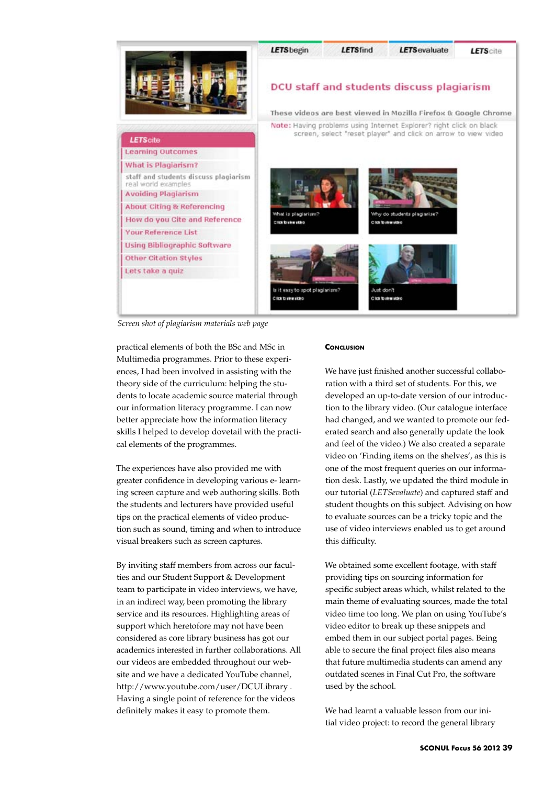

*Screen shot of plagiarism materials web page*

practical elements of both the BSc and MSc in Multimedia programmes. Prior to these experiences, I had been involved in assisting with the theory side of the curriculum: helping the students to locate academic source material through our information literacy programme. I can now better appreciate how the information literacy skills I helped to develop dovetail with the practical elements of the programmes.

The experiences have also provided me with greater confidence in developing various e- learning screen capture and web authoring skills. Both the students and lecturers have provided useful tips on the practical elements of video production such as sound, timing and when to introduce visual breakers such as screen captures.

By inviting staff members from across our faculties and our Student Support & Development team to participate in video interviews, we have, in an indirect way, been promoting the library service and its resources. Highlighting areas of support which heretofore may not have been considered as core library business has got our academics interested in further collaborations. All our videos are embedded throughout our website and we have a dedicated YouTube channel, http://www.youtube.com/user/DCULibrary . Having a single point of reference for the videos definitely makes it easy to promote them.

# **CONCLUSION**

We have just finished another successful collaboration with a third set of students. For this, we developed an up-to-date version of our introduction to the library video. (Our catalogue interface had changed, and we wanted to promote our federated search and also generally update the look and feel of the video.) We also created a separate video on 'Finding items on the shelves', as this is one of the most frequent queries on our information desk. Lastly, we updated the third module in our tutorial (*LETSevaluate*) and captured staff and student thoughts on this subject. Advising on how to evaluate sources can be a tricky topic and the use of video interviews enabled us to get around this difficulty.

We obtained some excellent footage, with staff providing tips on sourcing information for specific subject areas which, whilst related to the main theme of evaluating sources, made the total video time too long. We plan on using YouTube's video editor to break up these snippets and embed them in our subject portal pages. Being able to secure the final project files also means that future multimedia students can amend any outdated scenes in Final Cut Pro, the software used by the school.

We had learnt a valuable lesson from our initial video project: to record the general library